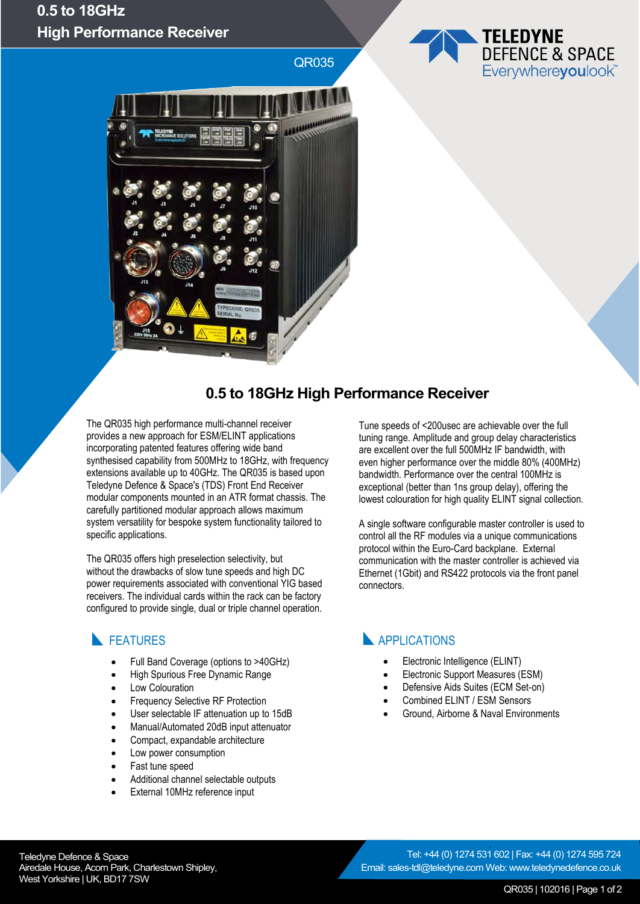## **0.5 to 18GHz High Performance Receiver**

QR035





## **0.5 to 18GHz High Performance Receiver**

The QR035 high performance multi-channel receiver provides a new approach for ESM/ELINT applications incorporating patented features offering wide band synthesised capability from 500MHz to 18GHz, with frequency extensions available up to 40GHz. The QR035 is based upon Teledyne Defence & Space's (TDS) Front End Receiver modular components mounted in an ATR format chassis. The carefully partitioned modular approach allows maximum system versatility for bespoke system functionality tailored to specific applications.

The QR035 offers high preselection selectivity, but without the drawbacks of slow tune speeds and high DC power requirements associated with conventional YIG based receivers. The individual cards within the rack can be factory configured to provide single, dual or triple channel operation.

#### **FEATURES**

- Full Band Coverage (options to >40GHz)
- High Spurious Free Dynamic Range
- Low Colouration
- Frequency Selective RF Protection
- User selectable IF attenuation up to 15dB
- Manual/Automated 20dB input attenuator
- Compact, expandable architecture
- Low power consumption
- Fast tune speed
- Additional channel selectable outputs
- External 10MHz reference input

Tune speeds of <200usec are achievable over the full tuning range. Amplitude and group delay characteristics are excellent over the full 500MHz IF bandwidth, with even higher performance over the middle 80% (400MHz) bandwidth. Performance over the central 100MHz is exceptional (better than 1ns group delay), offering the lowest colouration for high quality ELINT signal collection.

A single software configurable master controller is used to control all the RF modules via a unique communications protocol within the Euro-Card backplane. External communication with the master controller is achieved via Ethernet (1Gbit) and RS422 protocols via the front panel connectors.

## **APPLICATIONS**

- Electronic Intelligence (ELINT)
- Electronic Support Measures (ESM)
- Defensive Aids Suites (ECM Set-on)
- Combined ELINT / ESM Sensors
- Ground, Airborne & Naval Environments

Teledyne Defence & Space Airedale House, Acorn Park, Charlestown Shipley, West Yorkshire | UK, BD17 7SW

` Tel: +44 (0) 1274 531 602 | Fax: +44 (0) 1274 595 724 Email: sales-tdl@teledyne.com Web: www.teledynedefence.co.uk